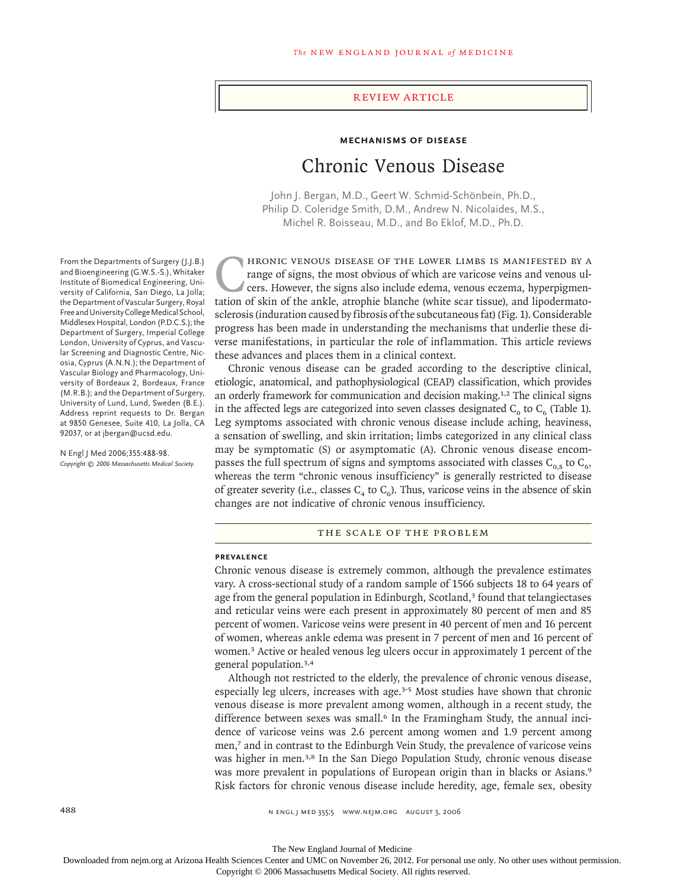# review article

# **Mechanisms of Disease** Chronic Venous Disease

John J. Bergan, M.D., Geert W. Schmid-Schönbein, Ph.D., Philip D. Coleridge Smith, D.M., Andrew N. Nicolaides, M.S., Michel R. Boisseau, M.D., and Bo Eklof, M.D., Ph.D.

FRONIC VENOUS DISEASE OF THE LOWER LIMBS IS MANIFESTED BY A range of signs, the most obvious of which are varicose veins and venous ulcers. However, the signs also include edema, venous eczema, hyperpigmentation of skin of range of signs, the most obvious of which are varicose veins and venous ulcers. However, the signs also include edema, venous eczema, hyperpigmentation of skin of the ankle, atrophie blanche (white scar tissue), and lipodermatosclerosis (induration caused by fibrosis of the subcutaneous fat) (Fig. 1). Considerable progress has been made in understanding the mechanisms that underlie these diverse manifestations, in particular the role of inflammation. This article reviews these advances and places them in a clinical context.

Chronic venous disease can be graded according to the descriptive clinical, etiologic, anatomical, and pathophysiological (CEAP) classification, which provides an orderly framework for communication and decision making.<sup>1,2</sup> The clinical signs in the affected legs are categorized into seven classes designated  $C_0$  to  $C_6$  (Table 1). Leg symptoms associated with chronic venous disease include aching, heaviness, a sensation of swelling, and skin irritation; limbs categorized in any clinical class may be symptomatic (S) or asymptomatic (A). Chronic venous disease encompasses the full spectrum of signs and symptoms associated with classes  $C_{0.5}$  to  $C_{6}$ , whereas the term "chronic venous insufficiency" is generally restricted to disease of greater severity (i.e., classes  $C_4$  to  $C_6$ ). Thus, varicose veins in the absence of skin changes are not indicative of chronic venous insufficiency.

#### THE SCALE OF THE PROBLEM

#### **Prevalence**

Chronic venous disease is extremely common, although the prevalence estimates vary. A cross-sectional study of a random sample of 1566 subjects 18 to 64 years of age from the general population in Edinburgh, Scotland,<sup>3</sup> found that telangiectases and reticular veins were each present in approximately 80 percent of men and 85 percent of women. Varicose veins were present in 40 percent of men and 16 percent of women, whereas ankle edema was present in 7 percent of men and 16 percent of women.<sup>3</sup> Active or healed venous leg ulcers occur in approximately 1 percent of the general population.3,4

Although not restricted to the elderly, the prevalence of chronic venous disease, especially leg ulcers, increases with age.3-5 Most studies have shown that chronic venous disease is more prevalent among women, although in a recent study, the difference between sexes was small.<sup>6</sup> In the Framingham Study, the annual incidence of varicose veins was 2.6 percent among women and 1.9 percent among men,<sup>7</sup> and in contrast to the Edinburgh Vein Study, the prevalence of varicose veins was higher in men.<sup>3,8</sup> In the San Diego Population Study, chronic venous disease was more prevalent in populations of European origin than in blacks or Asians.<sup>9</sup> Risk factors for chronic venous disease include heredity, age, female sex, obesity

From the Departments of Surgery (J.J.B.) and Bioengineering (G.W.S.-S.), Whitaker Institute of Biomedical Engineering, University of California, San Diego, La Jolla; the Department of Vascular Surgery, Royal Free and University College Medical School, Middlesex Hospital, London (P.D.C.S.); the Department of Surgery, Imperial College London, University of Cyprus, and Vascular Screening and Diagnostic Centre, Nicosia, Cyprus (A.N.N.); the Department of Vascular Biology and Pharmacology, University of Bordeaux 2, Bordeaux, France (M.R.B.); and the Department of Surgery, University of Lund, Lund, Sweden (B.E.). Address reprint requests to Dr. Bergan at 9850 Genesee, Suite 410, La Jolla, CA 92037, or at jbergan@ucsd.edu.

N Engl J Med 2006;355:488-98. *Copyright © 2006 Massachusetts Medical Society.*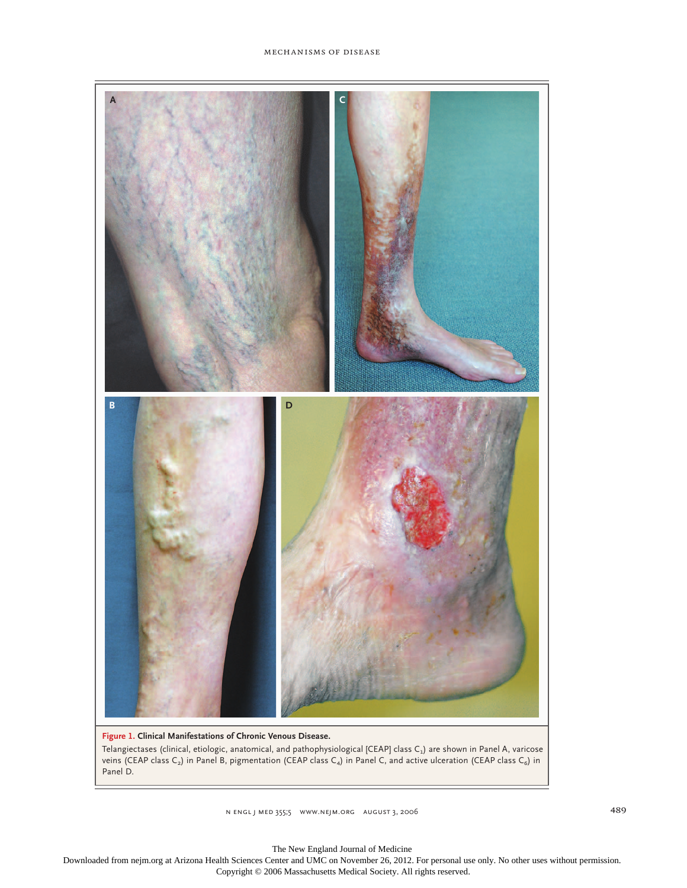

# **Figure 1. Clinical Manifestations of Chronic Venous Disease.**

Telangiectases (clinical, etiologic, anatomical, and pathophysiological [CEAP] class  $C_1$ ) are shown in Panel A, varicose veins (CEAP class C<sub>2</sub>) in Panel B, pigmentation (CEAP class C<sub>4</sub>) in Panel C, and active ulceration (CEAP class C<sub>6</sub>) in Panel D.

n engl j med 355;5 www.nejm.org august 3, 2006 489 august 3, 2007 489 august 2014

The New England Journal of Medicine

Downloaded from nejm.org at Arizona Health Sciences Center and UMC on November 26, 2012. For personal use only. No other uses without permission. Copyright © 2006 Massachusetts Medical Society. All rights reserved.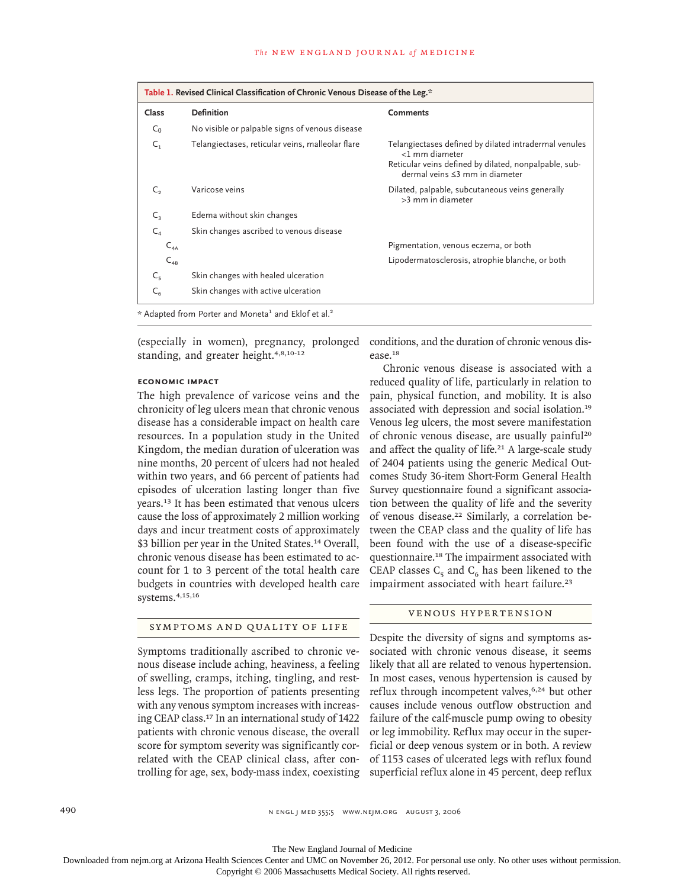| Table 1. Revised Clinical Classification of Chronic Venous Disease of the Leg.* |                                                  |                                                                                                                                                                    |
|---------------------------------------------------------------------------------|--------------------------------------------------|--------------------------------------------------------------------------------------------------------------------------------------------------------------------|
| Class                                                                           | <b>Definition</b>                                | <b>Comments</b>                                                                                                                                                    |
| $C_0$                                                                           | No visible or palpable signs of venous disease   |                                                                                                                                                                    |
| $\mathsf{C}_1$                                                                  | Telangiectases, reticular veins, malleolar flare | Telangiectases defined by dilated intradermal venules<br><1 mm diameter<br>Reticular veins defined by dilated, nonpalpable, sub-<br>dermal veins ≤3 mm in diameter |
| $\mathsf{C}_2$                                                                  | Varicose veins                                   | Dilated, palpable, subcutaneous veins generally<br>>3 mm in diameter                                                                                               |
| $C_{3}$                                                                         | Edema without skin changes                       |                                                                                                                                                                    |
| $C_{4}$                                                                         | Skin changes ascribed to venous disease          |                                                                                                                                                                    |
| $C_{4A}$                                                                        |                                                  | Pigmentation, venous eczema, or both                                                                                                                               |
| $C_{4B}$                                                                        |                                                  | Lipodermatosclerosis, atrophie blanche, or both                                                                                                                    |
| $C_{5}$                                                                         | Skin changes with healed ulceration              |                                                                                                                                                                    |
| $C_{6}$                                                                         | Skin changes with active ulceration              |                                                                                                                                                                    |
| * Adapted from Porter and Moneta <sup>1</sup> and Eklof et al. <sup>2</sup>     |                                                  |                                                                                                                                                                    |

(especially in women), pregnancy, prolonged standing, and greater height.<sup>4,8,10-12</sup>

# **Economic Impact**

The high prevalence of varicose veins and the chronicity of leg ulcers mean that chronic venous disease has a considerable impact on health care resources. In a population study in the United Kingdom, the median duration of ulceration was nine months, 20 percent of ulcers had not healed within two years, and 66 percent of patients had episodes of ulceration lasting longer than five years.<sup>13</sup> It has been estimated that venous ulcers cause the loss of approximately 2 million working days and incur treatment costs of approximately \$3 billion per year in the United States.<sup>14</sup> Overall, chronic venous disease has been estimated to account for 1 to 3 percent of the total health care budgets in countries with developed health care systems.4,15,16

# SYMPTOMS AND QUALITY OF LIFE

Symptoms traditionally ascribed to chronic venous disease include aching, heaviness, a feeling of swelling, cramps, itching, tingling, and restless legs. The proportion of patients presenting with any venous symptom increases with increasing CEAP class.<sup>17</sup> In an international study of 1422 patients with chronic venous disease, the overall score for symptom severity was significantly correlated with the CEAP clinical class, after conconditions, and the duration of chronic venous disease.<sup>18</sup>

Chronic venous disease is associated with a reduced quality of life, particularly in relation to pain, physical function, and mobility. It is also associated with depression and social isolation.<sup>19</sup> Venous leg ulcers, the most severe manifestation of chronic venous disease, are usually painful<sup>20</sup> and affect the quality of life.<sup>21</sup> A large-scale study of 2404 patients using the generic Medical Outcomes Study 36-item Short-Form General Health Survey questionnaire found a significant association between the quality of life and the severity of venous disease.<sup>22</sup> Similarly, a correlation between the CEAP class and the quality of life has been found with the use of a disease-specific questionnaire.<sup>18</sup> The impairment associated with CEAP classes  $C_5$  and  $C_6$  has been likened to the impairment associated with heart failure.<sup>23</sup>

# VENOUS HYPERTENSION

trolling for age, sex, body-mass index, coexisting superficial reflux alone in 45 percent, deep reflux Despite the diversity of signs and symptoms associated with chronic venous disease, it seems likely that all are related to venous hypertension. In most cases, venous hypertension is caused by reflux through incompetent valves,<sup>6,24</sup> but other causes include venous outflow obstruction and failure of the calf-muscle pump owing to obesity or leg immobility. Reflux may occur in the superficial or deep venous system or in both. A review of 1153 cases of ulcerated legs with reflux found

490 n engl j med 355;5 www.nejm.org august 3, 2006

The New England Journal of Medicine

Downloaded from nejm.org at Arizona Health Sciences Center and UMC on November 26, 2012. For personal use only. No other uses without permission.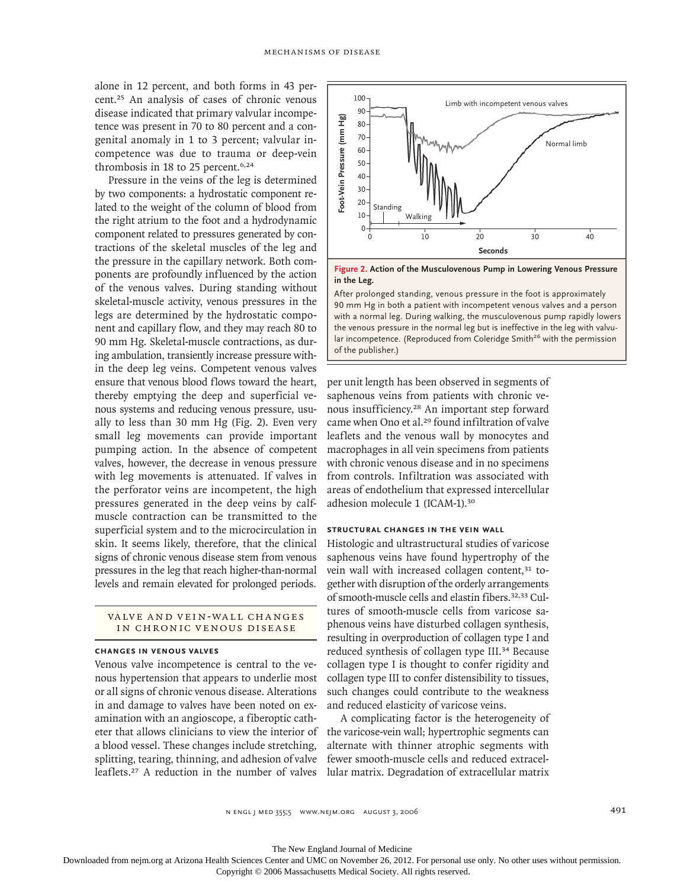alone in 12 percent, and both forms in 43 percent.<sup>25</sup> An analysis of cases of chronic venous disease indicated that primary valvular incompetence was present in 70 to 80 percent and a congenital anomaly in 1 to 3 percent; valvular incompetence was due to trauma or deep-vein thrombosis in 18 to 25 percent.<sup>6,24</sup>

Pressure in the veins of the leg is determined by two components: a hydrostatic component related to the weight of the column of blood from the right atrium to the foot and a hydrodynamic component related to pressures generated by contractions of the skeletal muscles of the leg and the pressure in the capillary network. Both components are profoundly influenced by the action of the venous valves. During standing without skeletal-muscle activity, venous pressures in the legs are determined by the hydrostatic component and capillary flow, and they may reach 80 to 90 mm Hg. Skeletal-muscle contractions, as during ambulation, transiently increase pressure within the deep leg veins. Competent venous valves ensure that venous blood flows toward the heart, thereby emptying the deep and superficial venous systems and reducing venous pressure, usually to less than 30 mm Hg (Fig. 2). Even very small leg movements can provide important pumping action. In the absence of competent valves, however, the decrease in venous pressure with leg movements is attenuated. If valves in the perforator veins are incompetent, the high pressures generated in the deep veins by calfmuscle contraction can be transmitted to the superficial system and to the microcirculation in skin. It seems likely, therefore, that the clinical signs of chronic venous disease stem from venous pressures in the leg that reach higher-than-normal levels and remain elevated for prolonged periods.

# VALVE AND VEIN-WALL CHANGES IN CHRONIC VENOUS DISEASE

#### **Changes in Venous Valves**

Venous valve incompetence is central to the venous hypertension that appears to underlie most or all signs of chronic venous disease. Alterations in and damage to valves have been noted on examination with an angioscope, a fiberoptic catheter that allows clinicians to view the interior of a blood vessel. These changes include stretching, splitting, tearing, thinning, and adhesion of valve leaflets.<sup>27</sup> A reduction in the number of valves lular matrix. Degradation of extracellular matrix



**Figure 2. Action of the Musculovenous Pump in Lowering Venous Pressure in the Leg.**

After prolonged standing, venous pressure in the foot is approximately 90 mm Hg in both a patient with incompetent venous valves and a person with a normal leg. During walking, the musculovenous pump rapidly lowers the venous pressure in the normal leg but is ineffective in the leg with valvular incompetence. (Reproduced from Coleridge Smith<sup>26</sup> with the permission of the publisher.)

per unit length has been observed in segments of saphenous veins from patients with chronic venous insufficiency.<sup>28</sup> An important step forward came when Ono et al.<sup>29</sup> found infiltration of valve leaflets and the venous wall by monocytes and macrophages in all vein specimens from patients with chronic venous disease and in no specimens from controls. Infiltration was associated with areas of endothelium that expressed intercellular adhesion molecule 1 (ICAM-1).<sup>30</sup>

# **Structural Changes in the Vein Wall**

Histologic and ultrastructural studies of varicose saphenous veins have found hypertrophy of the vein wall with increased collagen content,<sup>31</sup> together with disruption of the orderly arrangements of smooth-muscle cells and elastin fibers.32,33 Cultures of smooth-muscle cells from varicose saphenous veins have disturbed collagen synthesis, resulting in overproduction of collagen type I and reduced synthesis of collagen type III.<sup>34</sup> Because collagen type I is thought to confer rigidity and collagen type III to confer distensibility to tissues, such changes could contribute to the weakness and reduced elasticity of varicose veins. **EVALUATION CONSURATION CONSURATION**<br> **EVALUATION CONSURATION**<br> **EVALUATION CONSURATION**<br> **EVALUATION CONSURATION**<br> **EVALUATION**<br> **EVALUATION**<br> **EVALUATION**<br> **EVALUATION**<br> **EVALUATION**<br> **EVALUATION**<br> **EVALUATION**<br> **EVALU** 

A complicating factor is the heterogeneity of the varicose-vein wall; hypertrophic segments can alternate with thinner atrophic segments with fewer smooth-muscle cells and reduced extracel-

The New England Journal of Medicine

Downloaded from nejm.org at Arizona Health Sciences Center and UMC on November 26, 2012. For personal use only. No other uses without permission.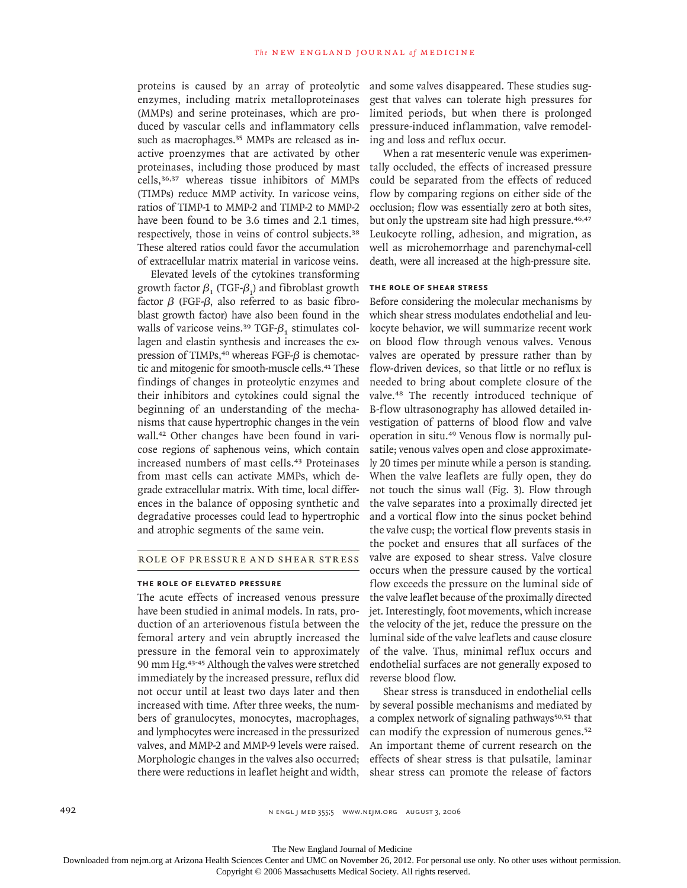proteins is caused by an array of proteolytic enzymes, including matrix metalloproteinases (MMPs) and serine proteinases, which are produced by vascular cells and inflammatory cells such as macrophages.<sup>35</sup> MMPs are released as inactive proenzymes that are activated by other proteinases, including those produced by mast cells,36,37 whereas tissue inhibitors of MMPs (TIMPs) reduce MMP activity. In varicose veins, ratios of TIMP-1 to MMP-2 and TIMP-2 to MMP-2 have been found to be 3.6 times and 2.1 times, respectively, those in veins of control subjects.<sup>38</sup> These altered ratios could favor the accumulation of extracellular matrix material in varicose veins.

Elevated levels of the cytokines transforming growth factor  $\beta_1$  (TGF- $\beta_1$ ) and fibroblast growth factor β (FGF-β, also referred to as basic fibroblast growth factor) have also been found in the walls of varicose veins.<sup>39</sup> TGF- $\beta$ <sub>1</sub> stimulates collagen and elastin synthesis and increases the expression of TIMPs, $40$  whereas FGF- $\beta$  is chemotactic and mitogenic for smooth-muscle cells.<sup>41</sup> These findings of changes in proteolytic enzymes and their inhibitors and cytokines could signal the beginning of an understanding of the mechanisms that cause hypertrophic changes in the vein wall.<sup>42</sup> Other changes have been found in varicose regions of saphenous veins, which contain increased numbers of mast cells.<sup>43</sup> Proteinases from mast cells can activate MMPs, which degrade extracellular matrix. With time, local differences in the balance of opposing synthetic and degradative processes could lead to hypertrophic and atrophic segments of the same vein.

# Role of Pressure and Shear Stress

#### **The Role of Elevated Pressure**

The acute effects of increased venous pressure have been studied in animal models. In rats, production of an arteriovenous fistula between the femoral artery and vein abruptly increased the pressure in the femoral vein to approximately 90 mm Hg.43-45 Although the valves were stretched immediately by the increased pressure, reflux did not occur until at least two days later and then increased with time. After three weeks, the numbers of granulocytes, monocytes, macrophages, and lymphocytes were increased in the pressurized valves, and MMP-2 and MMP-9 levels were raised. Morphologic changes in the valves also occurred; there were reductions in leaflet height and width, and some valves disappeared. These studies suggest that valves can tolerate high pressures for limited periods, but when there is prolonged pressure-induced inflammation, valve remodeling and loss and reflux occur.

When a rat mesenteric venule was experimentally occluded, the effects of increased pressure could be separated from the effects of reduced flow by comparing regions on either side of the occlusion; flow was essentially zero at both sites, but only the upstream site had high pressure.<sup>46,47</sup> Leukocyte rolling, adhesion, and migration, as well as microhemorrhage and parenchymal-cell death, were all increased at the high-pressure site.

#### **The Role of Shear Stress**

Before considering the molecular mechanisms by which shear stress modulates endothelial and leukocyte behavior, we will summarize recent work on blood flow through venous valves. Venous valves are operated by pressure rather than by flow-driven devices, so that little or no reflux is needed to bring about complete closure of the valve.<sup>48</sup> The recently introduced technique of B-flow ultrasonography has allowed detailed investigation of patterns of blood flow and valve operation in situ.<sup>49</sup> Venous flow is normally pulsatile; venous valves open and close approximately 20 times per minute while a person is standing. When the valve leaflets are fully open, they do not touch the sinus wall (Fig. 3). Flow through the valve separates into a proximally directed jet and a vortical flow into the sinus pocket behind the valve cusp; the vortical flow prevents stasis in the pocket and ensures that all surfaces of the valve are exposed to shear stress. Valve closure occurs when the pressure caused by the vortical flow exceeds the pressure on the luminal side of the valve leaflet because of the proximally directed jet. Interestingly, foot movements, which increase the velocity of the jet, reduce the pressure on the luminal side of the valve leaflets and cause closure of the valve. Thus, minimal reflux occurs and endothelial surfaces are not generally exposed to reverse blood flow.

Shear stress is transduced in endothelial cells by several possible mechanisms and mediated by a complex network of signaling pathways $50,51$  that can modify the expression of numerous genes.<sup>52</sup> An important theme of current research on the effects of shear stress is that pulsatile, laminar shear stress can promote the release of factors

The New England Journal of Medicine Downloaded from nejm.org at Arizona Health Sciences Center and UMC on November 26, 2012. For personal use only. No other uses without permission.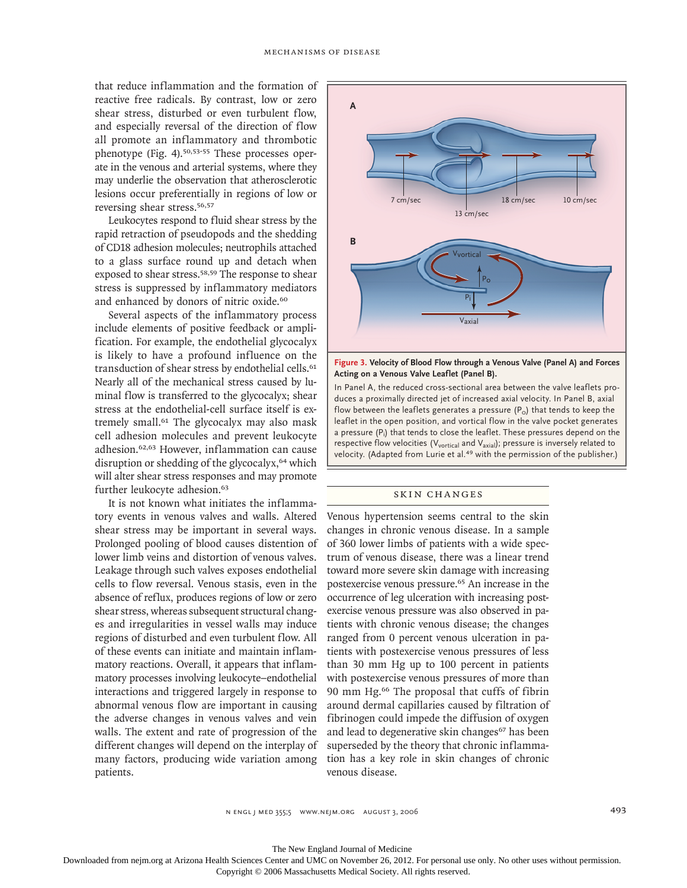that reduce inflammation and the formation of reactive free radicals. By contrast, low or zero shear stress, disturbed or even turbulent flow, and especially reversal of the direction of flow all promote an inflammatory and thrombotic phenotype (Fig. 4).50,53-55 These processes operate in the venous and arterial systems, where they may underlie the observation that atherosclerotic lesions occur preferentially in regions of low or reversing shear stress.<sup>56,57</sup>

Leukocytes respond to fluid shear stress by the rapid retraction of pseudopods and the shedding of CD18 adhesion molecules; neutrophils attached to a glass surface round up and detach when exposed to shear stress.<sup>58,59</sup> The response to shear stress is suppressed by inflammatory mediators and enhanced by donors of nitric oxide.<sup>60</sup>

Several aspects of the inflammatory process include elements of positive feedback or amplification. For example, the endothelial glycocalyx is likely to have a profound influence on the transduction of shear stress by endothelial cells.<sup>61</sup> Nearly all of the mechanical stress caused by luminal flow is transferred to the glycocalyx; shear stress at the endothelial-cell surface itself is extremely small.<sup>61</sup> The glycocalyx may also mask cell adhesion molecules and prevent leukocyte adhesion.62,63 However, inflammation can cause disruption or shedding of the glycocalyx,<sup>64</sup> which will alter shear stress responses and may promote further leukocyte adhesion.<sup>63</sup>

It is not known what initiates the inflammatory events in venous valves and walls. Altered shear stress may be important in several ways. Prolonged pooling of blood causes distention of lower limb veins and distortion of venous valves. Leakage through such valves exposes endothelial cells to flow reversal. Venous stasis, even in the absence of reflux, produces regions of low or zero shear stress, whereas subsequent structural changes and irregularities in vessel walls may induce regions of disturbed and even turbulent flow. All of these events can initiate and maintain inflammatory reactions. Overall, it appears that inflammatory processes involving leukocyte–endothelial interactions and triggered largely in response to abnormal venous flow are important in causing the adverse changes in venous valves and vein walls. The extent and rate of progression of the different changes will depend on the interplay of many factors, producing wide variation among patients.



**Figure 3. Velocity of Blood Flow through a Venous Valve (Panel A) and Forces Acting on a Venous Valve Leaflet (Panel B).**

In Panel A, the reduced cross-sectional area between the valve leaflets produces a proximally directed jet of increased axial velocity. In Panel B, axial flow between the leaflets generates a pressure  $(P<sub>o</sub>)$  that tends to keep the leaflet in the open position, and vortical flow in the valve pocket generates a pressure (P<sup>i</sup> ) that tends to close the leaflet. These pressures depend on the respective flow velocities (V<sub>vortical</sub> and V<sub>axial</sub>); pressure is inversely related to velocity. (Adapted from Lurie et al.<sup>49</sup> with the permission of the publisher.)

### SKIN CHANGES

Venous hypertension seems central to the skin changes in chronic venous disease. In a sample of 360 lower limbs of patients with a wide spectrum of venous disease, there was a linear trend toward more severe skin damage with increasing postexercise venous pressure.<sup>65</sup> An increase in the occurrence of leg ulceration with increasing postexercise venous pressure was also observed in patients with chronic venous disease; the changes ranged from 0 percent venous ulceration in patients with postexercise venous pressures of less than 30 mm Hg up to 100 percent in patients with postexercise venous pressures of more than 90 mm Hg.<sup>66</sup> The proposal that cuffs of fibrin around dermal capillaries caused by filtration of fibrinogen could impede the diffusion of oxygen and lead to degenerative skin changes<sup>67</sup> has been superseded by the theory that chronic inflammation has a key role in skin changes of chronic venous disease.

 $N$  engl j med 355;5 www.nejm.org august 3, 2006  $493$ 

The New England Journal of Medicine

Downloaded from nejm.org at Arizona Health Sciences Center and UMC on November 26, 2012. For personal use only. No other uses without permission.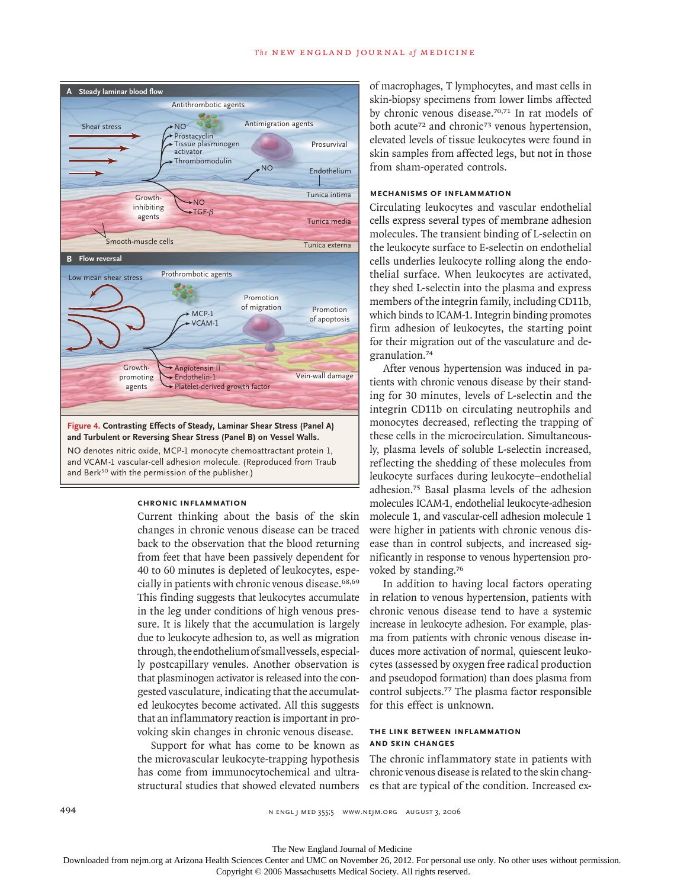

#### **Chronic Inflammation**

Current thinking about the basis of the skin changes in chronic venous disease can be traced back to the observation that the blood returning from feet that have been passively dependent for 40 to 60 minutes is depleted of leukocytes, especially in patients with chronic venous disease.<sup>68,69</sup> This finding suggests that leukocytes accumulate in the leg under conditions of high venous pressure. It is likely that the accumulation is largely due to leukocyte adhesion to, as well as migration through, the endothelium of small vessels, especially postcapillary venules. Another observation is that plasminogen activator is released into the congested vasculature, indicating that the accumulated leukocytes become activated. All this suggests that an inflammatory reaction is important in provoking skin changes in chronic venous disease.

Support for what has come to be known as the microvascular leukocyte-trapping hypothesis has come from immunocytochemical and ultrastructural studies that showed elevated numbers

of macrophages, T lymphocytes, and mast cells in skin-biopsy specimens from lower limbs affected by chronic venous disease.70,71 In rat models of both acute<sup>72</sup> and chronic<sup>73</sup> venous hypertension, elevated levels of tissue leukocytes were found in skin samples from affected legs, but not in those from sham-operated controls.

# **Mechanisms of Inflammation**

Circulating leukocytes and vascular endothelial cells express several types of membrane adhesion molecules. The transient binding of L-selectin on the leukocyte surface to E-selectin on endothelial cells underlies leukocyte rolling along the endothelial surface. When leukocytes are activated, they shed L-selectin into the plasma and express members of the integrin family, including CD11b, which binds to ICAM-1. Integrin binding promotes firm adhesion of leukocytes, the starting point for their migration out of the vasculature and degranulation.<sup>74</sup>

After venous hypertension was induced in patients with chronic venous disease by their standing for 30 minutes, levels of L-selectin and the integrin CD11b on circulating neutrophils and monocytes decreased, reflecting the trapping of these cells in the microcirculation. Simultaneously, plasma levels of soluble L-selectin increased, reflecting the shedding of these molecules from leukocyte surfaces during leukocyte–endothelial adhesion.<sup>75</sup> Basal plasma levels of the adhesion molecules ICAM-1, endothelial leukocyte-adhesion molecule 1, and vascular-cell adhesion molecule 1 were higher in patients with chronic venous disease than in control subjects, and increased significantly in response to venous hypertension provoked by standing.<sup>76</sup>

In addition to having local factors operating in relation to venous hypertension, patients with chronic venous disease tend to have a systemic increase in leukocyte adhesion. For example, plasma from patients with chronic venous disease induces more activation of normal, quiescent leukocytes (assessed by oxygen free radical production and pseudopod formation) than does plasma from control subjects.<sup>77</sup> The plasma factor responsible for this effect is unknown.

# **The Link between Inflammation and Skin Changes**

The chronic inflammatory state in patients with chronic venous disease is related to the skin changes that are typical of the condition. Increased ex-

The New England Journal of Medicine

Downloaded from nejm.org at Arizona Health Sciences Center and UMC on November 26, 2012. For personal use only. No other uses without permission.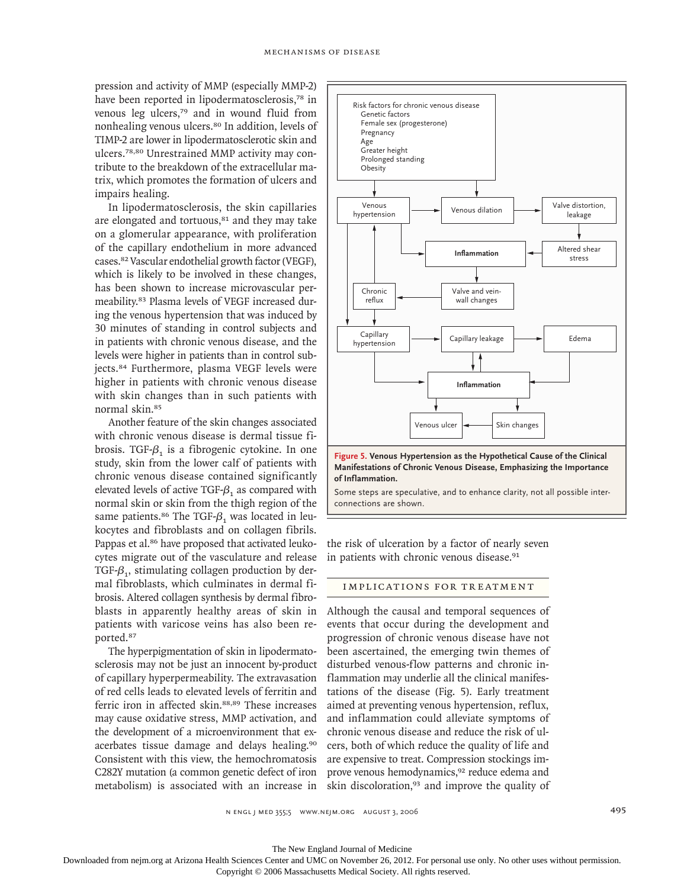pression and activity of MMP (especially MMP-2) have been reported in lipodermatosclerosis,<sup>78</sup> in venous leg ulcers,<sup>79</sup> and in wound fluid from nonhealing venous ulcers.<sup>80</sup> In addition, levels of TIMP-2 are lower in lipodermatosclerotic skin and ulcers.78,80 Unrestrained MMP activity may contribute to the breakdown of the extracellular matrix, which promotes the formation of ulcers and impairs healing.

In lipodermatosclerosis, the skin capillaries are elongated and tortuous,<sup>81</sup> and they may take on a glomerular appearance, with proliferation of the capillary endothelium in more advanced cases.<sup>82</sup> Vascular endothelial growth factor (VEGF), which is likely to be involved in these changes, has been shown to increase microvascular permeability.<sup>83</sup> Plasma levels of VEGF increased during the venous hypertension that was induced by 30 minutes of standing in control subjects and in patients with chronic venous disease, and the levels were higher in patients than in control subjects.<sup>84</sup> Furthermore, plasma VEGF levels were higher in patients with chronic venous disease with skin changes than in such patients with normal skin.<sup>85</sup>

Another feature of the skin changes associated with chronic venous disease is dermal tissue fibrosis. TGF- $\beta_1$  is a fibrogenic cytokine. In one study, skin from the lower calf of patients with chronic venous disease contained significantly elevated levels of active TGF- $\beta_1$  as compared with normal skin or skin from the thigh region of the same patients.<sup>86</sup> The TGF- $\beta_1$  was located in leukocytes and fibroblasts and on collagen fibrils. Pappas et al.<sup>86</sup> have proposed that activated leukocytes migrate out of the vasculature and release TGF- $\beta_1$ , stimulating collagen production by dermal fibroblasts, which culminates in dermal fibrosis. Altered collagen synthesis by dermal fibroblasts in apparently healthy areas of skin in patients with varicose veins has also been reported.<sup>87</sup>

The hyperpigmentation of skin in lipodermatosclerosis may not be just an innocent by-product of capillary hyperpermeability. The extravasation of red cells leads to elevated levels of ferritin and ferric iron in affected skin.88,89 These increases may cause oxidative stress, MMP activation, and the development of a microenvironment that exacerbates tissue damage and delays healing.<sup>90</sup> Consistent with this view, the hemochromatosis C282Y mutation (a common genetic defect of iron metabolism) is associated with an increase in



the risk of ulceration by a factor of nearly seven in patients with chronic venous disease.<sup>91</sup>

# IMPLICATIONS FOR TREATMENT

Although the causal and temporal sequences of events that occur during the development and progression of chronic venous disease have not been ascertained, the emerging twin themes of disturbed venous-flow patterns and chronic inflammation may underlie all the clinical manifestations of the disease (Fig. 5). Early treatment aimed at preventing venous hypertension, reflux, and inflammation could alleviate symptoms of chronic venous disease and reduce the risk of ulcers, both of which reduce the quality of life and are expensive to treat. Compression stockings improve venous hemodynamics,<sup>92</sup> reduce edema and skin discoloration,<sup>93</sup> and improve the quality of

The New England Journal of Medicine

Downloaded from nejm.org at Arizona Health Sciences Center and UMC on November 26, 2012. For personal use only. No other uses without permission.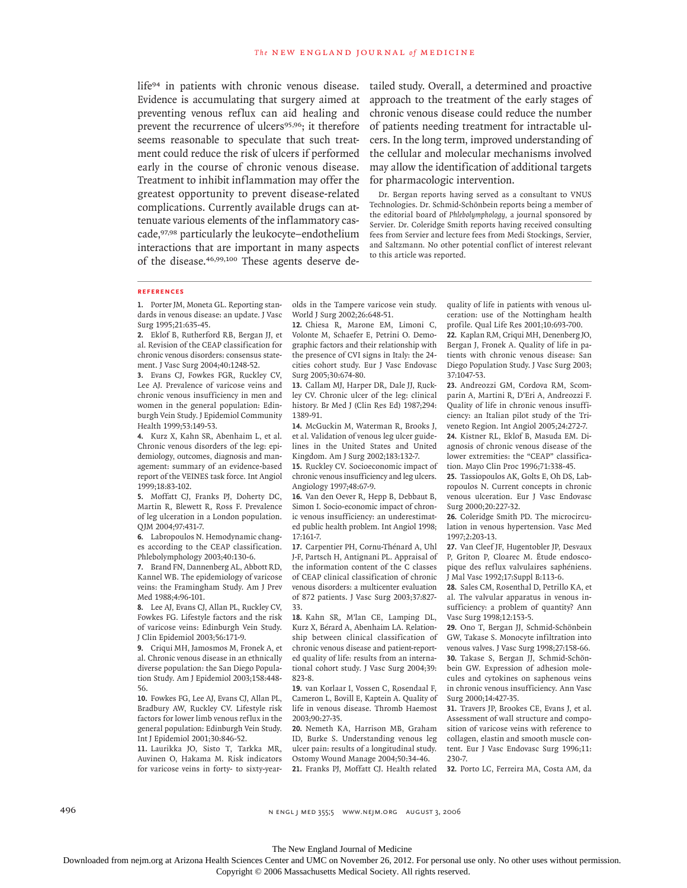life<sup>94</sup> in patients with chronic venous disease. Evidence is accumulating that surgery aimed at preventing venous reflux can aid healing and prevent the recurrence of ulcers<sup>95,96</sup>; it therefore seems reasonable to speculate that such treatment could reduce the risk of ulcers if performed early in the course of chronic venous disease. Treatment to inhibit inflammation may offer the greatest opportunity to prevent disease-related complications. Currently available drugs can attenuate various elements of the inflammatory cascade,97,98 particularly the leukocyte–endothelium interactions that are important in many aspects of the disease.46,99,100 These agents deserve detailed study. Overall, a determined and proactive approach to the treatment of the early stages of chronic venous disease could reduce the number of patients needing treatment for intractable ulcers. In the long term, improved understanding of the cellular and molecular mechanisms involved may allow the identification of additional targets for pharmacologic intervention.

Dr. Bergan reports having served as a consultant to VNUS Technologies. Dr. Schmid-Schönbein reports being a member of the editorial board of *Phlebolymphology,* a journal sponsored by Servier. Dr. Coleridge Smith reports having received consulting fees from Servier and lecture fees from Medi Stockings, Servier, and Saltzmann. No other potential conflict of interest relevant to this article was reported.

#### **References**

1. Porter JM, Moneta GL. Reporting standards in venous disease: an update. J Vasc Surg 1995;21:635-45.

Eklof B, Rutherford RB, Bergan JJ, et **2.** al. Revision of the CEAP classification for chronic venous disorders: consensus statement. J Vasc Surg 2004;40:1248-52.

Evans CJ, Fowkes FGR, Ruckley CV, **3.** Lee AJ. Prevalence of varicose veins and chronic venous insufficiency in men and women in the general population: Edinburgh Vein Study. J Epidemiol Community Health 1999;53:149-53.

Kurz X, Kahn SR, Abenhaim L, et al. **4.** Chronic venous disorders of the leg: epidemiology, outcomes, diagnosis and management: summary of an evidence-based report of the VEINES task force. Int Angiol 1999;18:83-102.

Moffatt CJ, Franks PJ, Doherty DC, **5.** Martin R, Blewett R, Ross F. Prevalence of leg ulceration in a London population. QJM 2004;97:431-7.

Labropoulos N. Hemodynamic chang-**6.** es according to the CEAP classification. Phlebolymphology 2003;40:130-6.

**7.** Brand FN, Dannenberg AL, Abbott RD, Kannel WB. The epidemiology of varicose veins: the Framingham Study. Am J Prev Med 1988;4:96-101.

Lee AJ, Evans CJ, Allan PL, Ruckley CV, **8.** Fowkes FG. Lifestyle factors and the risk of varicose veins: Edinburgh Vein Study. J Clin Epidemiol 2003;56:171-9.

Criqui MH, Jamosmos M, Fronek A, et **9.** al. Chronic venous disease in an ethnically diverse population: the San Diego Population Study. Am J Epidemiol 2003;158:448- 56.

Fowkes FG, Lee AJ, Evans CJ, Allan PL, **10.** Bradbury AW, Ruckley CV. Lifestyle risk factors for lower limb venous reflux in the general population: Edinburgh Vein Study. Int J Epidemiol 2001;30:846-52.

Laurikka JO, Sisto T, Tarkka MR, **11.** Auvinen O, Hakama M. Risk indicators for varicose veins in forty- to sixty-yearolds in the Tampere varicose vein study. World J Surg 2002;26:648-51.

12. Chiesa R, Marone EM, Limoni C, Volonte M, Schaefer E, Petrini O. Demographic factors and their relationship with the presence of CVI signs in Italy: the 24 cities cohort study. Eur J Vasc Endovasc Surg 2005;30:674-80.

13. Callam MJ, Harper DR, Dale JJ, Ruckley CV. Chronic ulcer of the leg: clinical history. Br Med J (Clin Res Ed) 1987;294: 1389-91.

14. McGuckin M, Waterman R, Brooks J, et al. Validation of venous leg ulcer guidelines in the United States and United Kingdom. Am J Surg 2002;183:132-7.

15. Ruckley CV. Socioeconomic impact of chronic venous insufficiency and leg ulcers. Angiology 1997;48:67-9.

16. Van den Oever R, Hepp B, Debbaut B, Simon I. Socio-economic impact of chronic venous insufficiency: an underestimated public health problem. Int Angiol 1998; 17:161-7.

17. Carpentier PH, Cornu-Thénard A, Uhl J-F, Partsch H, Antignani PL. Appraisal of the information content of the C classes of CEAP clinical classification of chronic venous disorders: a multicenter evaluation of 872 patients. J Vasc Surg 2003;37:827- 33.

18. Kahn SR, M'lan CE, Lamping DL, Kurz X, Bérard A, Abenhaim LA. Relationship between clinical classification of chronic venous disease and patient-reported quality of life: results from an international cohort study. J Vasc Surg 2004;39: 823-8.

19. van Korlaar I, Vossen C, Rosendaal F, Cameron L, Bovill E, Kaptein A. Quality of life in venous disease. Thromb Haemost 2003;90:27-35.

20. Nemeth KA, Harrison MB, Graham ID, Burke S. Understanding venous leg ulcer pain: results of a longitudinal study. Ostomy Wound Manage 2004;50:34-46. Franks PJ, Moffatt CJ. Health related **21.** quality of life in patients with venous ulceration: use of the Nottingham health profile. Qual Life Res 2001;10:693-700.

22. Kaplan RM, Criqui MH, Denenberg JO, Bergan J, Fronek A. Quality of life in patients with chronic venous disease: San Diego Population Study. J Vasc Surg 2003; 37:1047-53.

Andreozzi GM, Cordova RM, Scom-**23.** parin A, Martini R, D'Eri A, Andreozzi F. Quality of life in chronic venous insufficiency: an Italian pilot study of the Triveneto Region. Int Angiol 2005;24:272-7. **24.** Kistner RL, Eklof B, Masuda EM. Di-

agnosis of chronic venous disease of the lower extremities: the "CEAP" classification. Mayo Clin Proc 1996;71:338-45.

Tassiopoulos AK, Golts E, Oh DS, Lab-**25.** ropoulos N. Current concepts in chronic venous ulceration. Eur J Vasc Endovasc Surg 2000;20:227-32.

26. Coleridge Smith PD. The microcirculation in venous hypertension. Vasc Med 1997;2:203-13.

27. Van Cleef JF, Hugentobler JP, Desvaux P, Griton P, Cloarec M. Étude endoscopique des reflux valvulaires saphéniens. J Mal Vasc 1992;17:Suppl B:113-6.

28. Sales CM, Rosenthal D, Petrillo KA, et al. The valvular apparatus in venous insufficiency: a problem of quantity? Ann Vasc Surg 1998;12:153-5.

29. Ono T, Bergan JJ, Schmid-Schönbein GW, Takase S. Monocyte infiltration into venous valves. J Vasc Surg 1998;27:158-66. Takase S, Bergan JJ, Schmid-Schön-**30.** bein GW. Expression of adhesion molecules and cytokines on saphenous veins in chronic venous insufficiency. Ann Vasc Surg 2000;14:427-35.

**31.** Travers JP, Brookes CE, Evans J, et al. Assessment of wall structure and composition of varicose veins with reference to collagen, elastin and smooth muscle content. Eur J Vasc Endovasc Surg 1996;11: 230-7.

32. Porto LC, Ferreira MA, Costa AM, da

496 n engl j med 355;5 www.nejm.org august 3, 2006

The New England Journal of Medicine Downloaded from nejm.org at Arizona Health Sciences Center and UMC on November 26, 2012. For personal use only. No other uses without permission.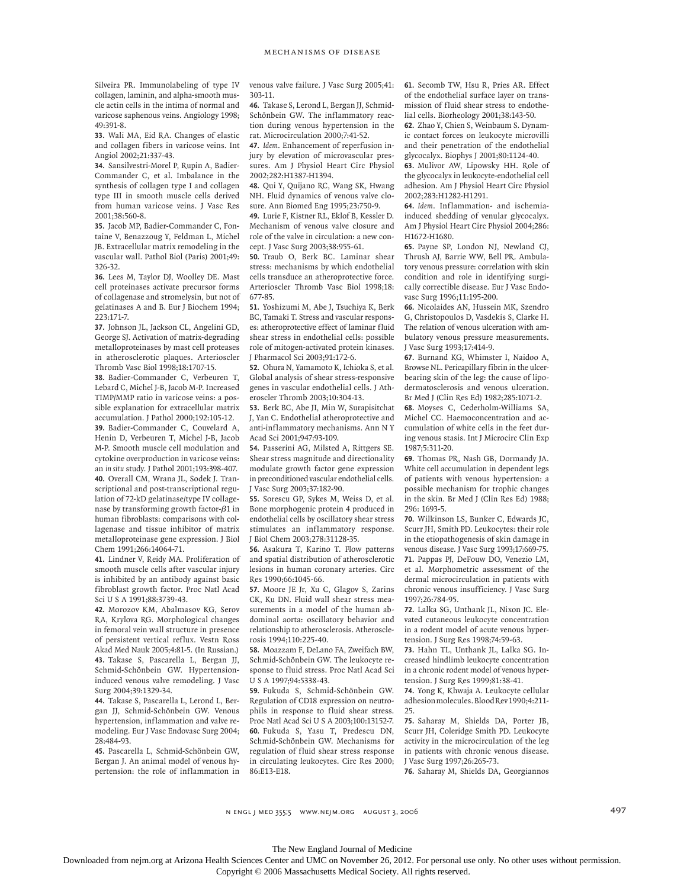Silveira PR. Immunolabeling of type IV collagen, laminin, and alpha-smooth muscle actin cells in the intima of normal and varicose saphenous veins. Angiology 1998; 49:391-8.

Wali MA, Eid RA. Changes of elastic **33.** and collagen fibers in varicose veins. Int Angiol 2002;21:337-43.

Sansilvestri-Morel P, Rupin A, Badier-**34.** Commander C, et al. Imbalance in the synthesis of collagen type I and collagen type III in smooth muscle cells derived from human varicose veins. J Vasc Res 2001;38:560-8.

35. Jacob MP, Badier-Commander C, Fontaine V, Benazzoug Y, Feldman L, Michel JB. Extracellular matrix remodeling in the vascular wall. Pathol Biol (Paris) 2001;49: 326-32.

36. Lees M, Taylor DJ, Woolley DE. Mast cell proteinases activate precursor forms of collagenase and stromelysin, but not of gelatinases A and B. Eur J Biochem 1994; 223:171-7.

37. Johnson JL, Jackson CL, Angelini GD, George SJ. Activation of matrix-degrading metalloproteinases by mast cell proteases in atherosclerotic plaques. Arterioscler Thromb Vasc Biol 1998;18:1707-15.

Badier-Commander C, Verbeuren T, **38.** Lebard C, Michel J-B, Jacob M-P. Increased TIMP/MMP ratio in varicose veins: a possible explanation for extracellular matrix accumulation. J Pathol 2000;192:105-12.

39. Badier-Commander C, Couvelard A, Henin D, Verbeuren T, Michel J-B, Jacob M-P. Smooth muscle cell modulation and cytokine overproduction in varicose veins: an *in situ* study. J Pathol 2001;193:398-407. 40. Overall CM, Wrana JL, Sodek J. Transcriptional and post-transcriptional regulation of 72-kD gelatinase/type IV collagenase by transforming growth factor-β1 in human fibroblasts: comparisons with collagenase and tissue inhibitor of matrix metalloproteinase gene expression. J Biol Chem 1991;266:14064-71.

41. Lindner V, Reidy MA. Proliferation of smooth muscle cells after vascular injury is inhibited by an antibody against basic fibroblast growth factor. Proc Natl Acad Sci U S A 1991;88:3739-43.

42. Morozov KM, Abalmasov KG, Serov RA, Krylova RG. Morphological changes in femoral vein wall structure in presence of persistent vertical reflux. Vestn Ross Akad Med Nauk 2005;4:81-5. (In Russian.) Takase S, Pascarella L, Bergan JJ, **43.** Schmid-Schönbein GW. Hypertensioninduced venous valve remodeling. J Vasc Surg 2004;39:1329-34.

Takase S, Pascarella L, Lerond L, Ber-**44.** gan JJ, Schmid-Schönbein GW. Venous hypertension, inflammation and valve remodeling. Eur J Vasc Endovasc Surg 2004; 28:484-93.

Pascarella L, Schmid-Schönbein GW, **45.** Bergan J. An animal model of venous hypertension: the role of inflammation in venous valve failure. J Vasc Surg 2005;41: 303-11.

Takase S, Lerond L, Bergan JJ, Schmid-**46.** Schönbein GW. The inflammatory reaction during venous hypertension in the rat. Microcirculation 2000;7:41-52.

*Idem*. Enhancement of reperfusion in-**47.** jury by elevation of microvascular pressures. Am J Physiol Heart Circ Physiol 2002;282:H1387-H1394.

48. Qui Y, Quijano RC, Wang SK, Hwang NH. Fluid dynamics of venous valve closure. Ann Biomed Eng 1995;23:750-9.

Lurie F, Kistner RL, Eklof B, Kessler D. **49.** Mechanism of venous valve closure and role of the valve in circulation: a new concept. J Vasc Surg 2003;38:955-61.

50. Traub O, Berk BC. Laminar shear stress: mechanisms by which endothelial cells transduce an atheroprotective force. Arterioscler Thromb Vasc Biol 1998;18: 677-85.

51. Yoshizumi M, Abe J, Tsuchiya K, Berk BC, Tamaki T. Stress and vascular responses: atheroprotective effect of laminar fluid shear stress in endothelial cells: possible role of mitogen-activated protein kinases. J Pharmacol Sci 2003;91:172-6.

52. Ohura N, Yamamoto K, Ichioka S, et al. Global analysis of shear stress-responsive genes in vascular endothelial cells. J Atheroscler Thromb 2003;10:304-13.

53. Berk BC, Abe JI, Min W, Surapisitchat J, Yan C. Endothelial atheroprotective and anti-inflammatory mechanisms. Ann N Y Acad Sci 2001;947:93-109.

54. Passerini AG, Milsted A, Rittgers SE. Shear stress magnitude and directionality modulate growth factor gene expression in preconditioned vascular endothelial cells. J Vasc Surg 2003;37:182-90.

55. Sorescu GP, Sykes M, Weiss D, et al. Bone morphogenic protein 4 produced in endothelial cells by oscillatory shear stress stimulates an inflammatory response. J Biol Chem 2003;278:31128-35.

56. Asakura T, Karino T. Flow patterns and spatial distribution of atherosclerotic lesions in human coronary arteries. Circ Res 1990;66:1045-66.

57. Moore JE Jr, Xu C, Glagov S, Zarins CK, Ku DN. Fluid wall shear stress measurements in a model of the human abdominal aorta: oscillatory behavior and relationship to atherosclerosis. Atherosclerosis 1994;110:225-40.

58. Moazzam F, DeLano FA, Zweifach BW, Schmid-Schönbein GW. The leukocyte response to fluid stress. Proc Natl Acad Sci U S A 1997;94:5338-43.

Fukuda S, Schmid-Schönbein GW. **59.** Regulation of CD18 expression on neutrophils in response to fluid shear stress. Proc Natl Acad Sci U S A 2003;100:13152-7. Fukuda S, Yasu T, Predescu DN, **60.** Schmid-Schönbein GW. Mechanisms for regulation of fluid shear stress response in circulating leukocytes. Circ Res 2000; 86:E13-E18.

61. Secomb TW, Hsu R, Pries AR. Effect of the endothelial surface layer on transmission of fluid shear stress to endothelial cells. Biorheology 2001;38:143-50.

62. Zhao Y, Chien S, Weinbaum S. Dynamic contact forces on leukocyte microvilli and their penetration of the endothelial glycocalyx. Biophys J 2001;80:1124-40.

63. Mulivor AW, Lipowsky HH. Role of the glycocalyx in leukocyte-endothelial cell adhesion. Am J Physiol Heart Circ Physiol 2002;283:H1282-H1291.

*Idem*. Inflammation- and ischemia-**64.** induced shedding of venular glycocalyx. Am J Physiol Heart Circ Physiol 2004;286: H1672-H1680.

65. Payne SP, London NJ, Newland CJ, Thrush AJ, Barrie WW, Bell PR. Ambulatory venous pressure: correlation with skin condition and role in identifying surgically correctible disease. Eur J Vasc Endovasc Surg 1996;11:195-200.

66. Nicolaides AN, Hussein MK, Szendro G, Christopoulos D, Vasdekis S, Clarke H. The relation of venous ulceration with ambulatory venous pressure measurements. J Vasc Surg 1993;17:414-9.

Burnand KG, Whimster I, Naidoo A, **67.** Browse NL. Pericapillary fibrin in the ulcerbearing skin of the leg: the cause of lipodermatosclerosis and venous ulceration. Br Med J (Clin Res Ed) 1982;285:1071-2.

68. Moyses C, Cederholm-Williams SA, Michel CC. Haemoconcentration and accumulation of white cells in the feet during venous stasis. Int J Microcirc Clin Exp 1987;5:311-20.

69. Thomas PR, Nash GB, Dormandy JA. White cell accumulation in dependent legs of patients with venous hypertension: a possible mechanism for trophic changes in the skin. Br Med J (Clin Res Ed) 1988; 296: 1693-5.

70. Wilkinson LS, Bunker C, Edwards JC, Scurr JH, Smith PD. Leukocytes: their role in the etiopathogenesis of skin damage in venous disease. J Vasc Surg 1993;17:669-75. 71. Pappas PJ, DeFouw DO, Venezio LM, et al. Morphometric assessment of the dermal microcirculation in patients with chronic venous insufficiency. J Vasc Surg 1997;26:784-95.

72. Lalka SG, Unthank JL, Nixon JC. Elevated cutaneous leukocyte concentration in a rodent model of acute venous hypertension. J Surg Res 1998;74:59-63.

73. Hahn TL, Unthank JL, Lalka SG. Increased hindlimb leukocyte concentration in a chronic rodent model of venous hypertension. J Surg Res 1999;81:38-41.

74. Yong K, Khwaja A. Leukocyte cellular adhesion molecules. Blood Rev 1990;4:211- 25.

75. Saharay M, Shields DA, Porter JB, Scurr JH, Coleridge Smith PD. Leukocyte activity in the microcirculation of the leg in patients with chronic venous disease. J Vasc Surg 1997;26:265-73.

76. Saharay M, Shields DA, Georgiannos

#### The New England Journal of Medicine

Downloaded from nejm.org at Arizona Health Sciences Center and UMC on November 26, 2012. For personal use only. No other uses without permission.